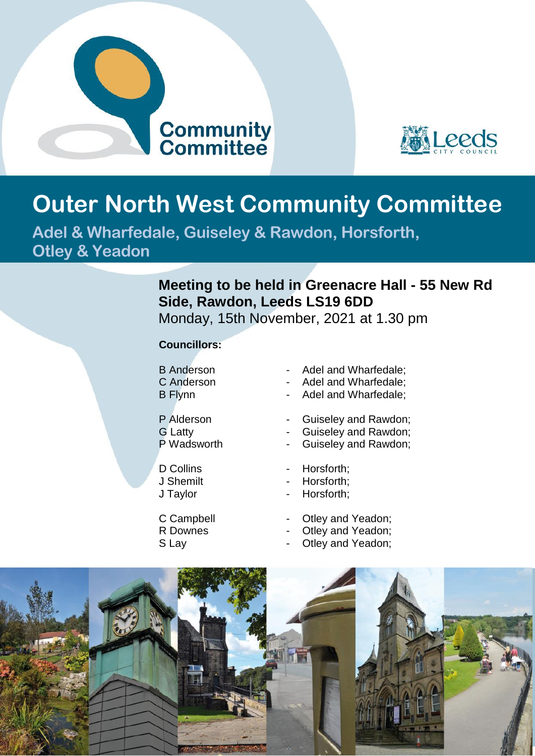



## **Outer North West Community Committee**

**Adel & Wharfedale, Guiseley & Rawdon, Horsforth, Otley & Yeadon**

## **Meeting to be held in Greenacre Hall - 55 New Rd Side, Rawdon, Leeds LS19 6DD**

Monday, 15th November, 2021 at 1.30 pm

## **Councillors:**

- 
- 
- 
- 
- 
- 
- 
- 
- 
- B Anderson Adel and Wharfedale:
- C Anderson Adel and Wharfedale;
- B Flynn Adel and Wharfedale;
- P Alderson  **Guiseley and Rawdon:**
- G Latty Guiseley and Rawdon;
	- Guiseley and Rawdon;
- D Collins  **Horsforth:**
- J Shemilt **-** Horsforth;
- J Taylor  **Horsforth**;
- C Campbell Otley and Yeadon;
- R Downes  **Otley and Yeadon**;
- S Lay  **Otley and Yeadon;**

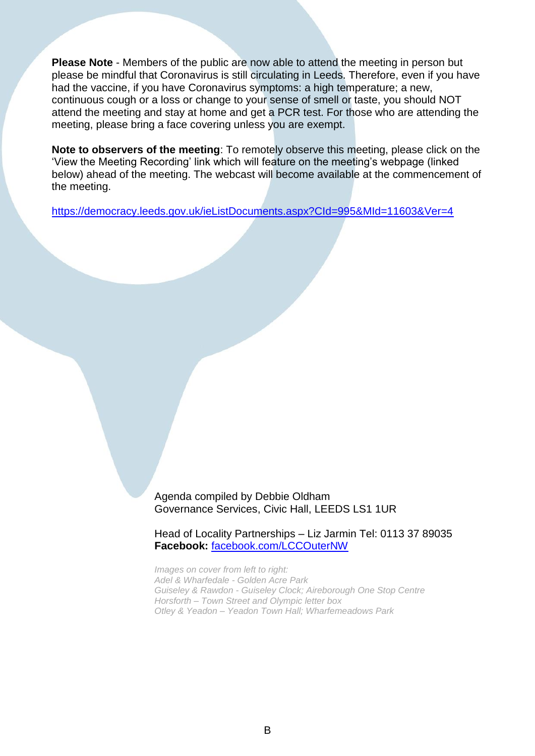**Please Note** - Members of the public are now able to attend the meeting in person but please be mindful that Coronavirus is still circulating in Leeds. Therefore, even if you have had the vaccine, if you have Coronavirus symptoms: a high temperature; a new, continuous cough or a loss or change to your sense of smell or taste, you should NOT attend the meeting and stay at home and get a PCR test. For those who are attending the meeting, please bring a face covering unless you are exempt.

**Note to observers of the meeting**: To remotely observe this meeting, please click on the 'View the Meeting Recording' link which will feature on the meeting's webpage (linked below) ahead of the meeting. The webcast will become available at the commencement of the meeting.

<https://democracy.leeds.gov.uk/ieListDocuments.aspx?CId=995&MId=11603&Ver=4>

Agenda compiled by Debbie Oldham Governance Services, Civic Hall, LEEDS LS1 1UR

Head of Locality Partnerships – Liz Jarmin Tel: 0113 37 89035 **Facebook:** [facebook.com/LCCOuterNW](https://www.facebook.com/LCCOuterNW?fref=ts)

*Images on cover from left to right: Adel & Wharfedale - Golden Acre Park Guiseley & Rawdon - Guiseley Clock; Aireborough One Stop Centre Horsforth – Town Street and Olympic letter box Otley & Yeadon – Yeadon Town Hall; Wharfemeadows Park*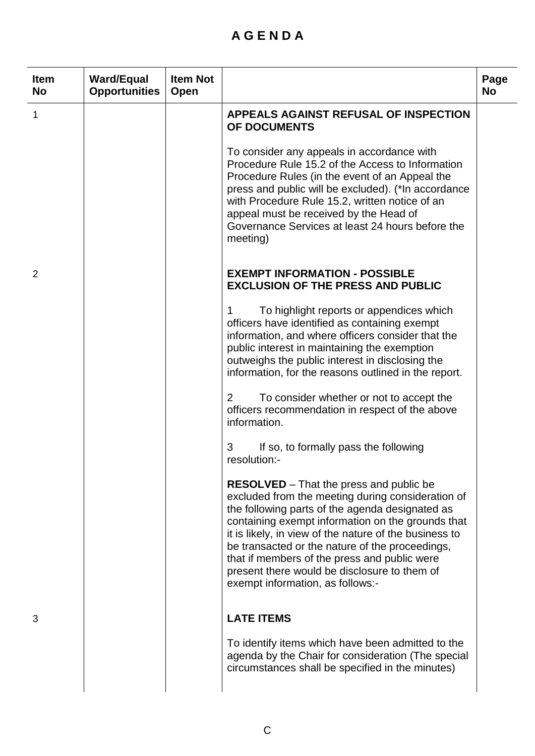## **A G E N D A**

| <b>Item</b><br><b>No</b> | <b>Ward/Equal</b><br><b>Opportunities</b> | <b>Item Not</b><br>Open |                                                                                                                                                                                                                                                                                                                                                                                                                                                              | Page<br><b>No</b> |
|--------------------------|-------------------------------------------|-------------------------|--------------------------------------------------------------------------------------------------------------------------------------------------------------------------------------------------------------------------------------------------------------------------------------------------------------------------------------------------------------------------------------------------------------------------------------------------------------|-------------------|
| 1                        |                                           |                         | <b>APPEALS AGAINST REFUSAL OF INSPECTION</b><br>OF DOCUMENTS                                                                                                                                                                                                                                                                                                                                                                                                 |                   |
|                          |                                           |                         | To consider any appeals in accordance with<br>Procedure Rule 15.2 of the Access to Information<br>Procedure Rules (in the event of an Appeal the<br>press and public will be excluded). (*In accordance<br>with Procedure Rule 15.2, written notice of an<br>appeal must be received by the Head of<br>Governance Services at least 24 hours before the<br>meeting)                                                                                          |                   |
| $\overline{2}$           |                                           |                         | <b>EXEMPT INFORMATION - POSSIBLE</b><br><b>EXCLUSION OF THE PRESS AND PUBLIC</b>                                                                                                                                                                                                                                                                                                                                                                             |                   |
|                          |                                           |                         | To highlight reports or appendices which<br>1<br>officers have identified as containing exempt<br>information, and where officers consider that the<br>public interest in maintaining the exemption<br>outweighs the public interest in disclosing the<br>information, for the reasons outlined in the report.                                                                                                                                               |                   |
|                          |                                           |                         | 2<br>To consider whether or not to accept the<br>officers recommendation in respect of the above<br>information.                                                                                                                                                                                                                                                                                                                                             |                   |
|                          |                                           |                         | 3<br>If so, to formally pass the following<br>resolution:-                                                                                                                                                                                                                                                                                                                                                                                                   |                   |
|                          |                                           |                         | <b>RESOLVED</b> – That the press and public be<br>excluded from the meeting during consideration of<br>the following parts of the agenda designated as<br>containing exempt information on the grounds that<br>it is likely, in view of the nature of the business to<br>be transacted or the nature of the proceedings,<br>that if members of the press and public were<br>present there would be disclosure to them of<br>exempt information, as follows:- |                   |
| 3                        |                                           |                         | <b>LATE ITEMS</b>                                                                                                                                                                                                                                                                                                                                                                                                                                            |                   |
|                          |                                           |                         | To identify items which have been admitted to the<br>agenda by the Chair for consideration (The special<br>circumstances shall be specified in the minutes)                                                                                                                                                                                                                                                                                                  |                   |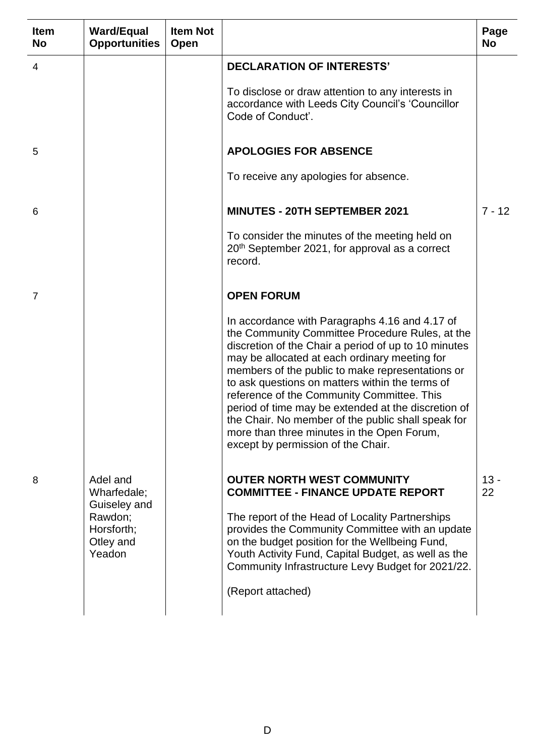| <b>Item</b><br><b>No</b> | <b>Ward/Equal</b><br><b>Opportunities</b>                                               | <b>Item Not</b><br>Open |                                                                                                                                                                                                                                                                                                                                                                                                                                                                                                                                                                  | Page<br><b>No</b> |
|--------------------------|-----------------------------------------------------------------------------------------|-------------------------|------------------------------------------------------------------------------------------------------------------------------------------------------------------------------------------------------------------------------------------------------------------------------------------------------------------------------------------------------------------------------------------------------------------------------------------------------------------------------------------------------------------------------------------------------------------|-------------------|
| 4                        |                                                                                         |                         | <b>DECLARATION OF INTERESTS'</b>                                                                                                                                                                                                                                                                                                                                                                                                                                                                                                                                 |                   |
|                          |                                                                                         |                         | To disclose or draw attention to any interests in<br>accordance with Leeds City Council's 'Councillor<br>Code of Conduct'.                                                                                                                                                                                                                                                                                                                                                                                                                                       |                   |
| 5                        |                                                                                         |                         | <b>APOLOGIES FOR ABSENCE</b>                                                                                                                                                                                                                                                                                                                                                                                                                                                                                                                                     |                   |
|                          |                                                                                         |                         | To receive any apologies for absence.                                                                                                                                                                                                                                                                                                                                                                                                                                                                                                                            |                   |
| 6                        |                                                                                         |                         | <b>MINUTES - 20TH SEPTEMBER 2021</b>                                                                                                                                                                                                                                                                                                                                                                                                                                                                                                                             | $7 - 12$          |
|                          |                                                                                         |                         | To consider the minutes of the meeting held on<br>20 <sup>th</sup> September 2021, for approval as a correct<br>record.                                                                                                                                                                                                                                                                                                                                                                                                                                          |                   |
| 7                        |                                                                                         |                         | <b>OPEN FORUM</b>                                                                                                                                                                                                                                                                                                                                                                                                                                                                                                                                                |                   |
|                          |                                                                                         |                         | In accordance with Paragraphs 4.16 and 4.17 of<br>the Community Committee Procedure Rules, at the<br>discretion of the Chair a period of up to 10 minutes<br>may be allocated at each ordinary meeting for<br>members of the public to make representations or<br>to ask questions on matters within the terms of<br>reference of the Community Committee. This<br>period of time may be extended at the discretion of<br>the Chair. No member of the public shall speak for<br>more than three minutes in the Open Forum,<br>except by permission of the Chair. |                   |
| 8                        | Adel and<br>Wharfedale;<br>Guiseley and<br>Rawdon;<br>Horsforth;<br>Otley and<br>Yeadon |                         | <b>OUTER NORTH WEST COMMUNITY</b><br><b>COMMITTEE - FINANCE UPDATE REPORT</b><br>The report of the Head of Locality Partnerships<br>provides the Community Committee with an update<br>on the budget position for the Wellbeing Fund,<br>Youth Activity Fund, Capital Budget, as well as the<br>Community Infrastructure Levy Budget for 2021/22.<br>(Report attached)                                                                                                                                                                                           | $13 -$<br>22      |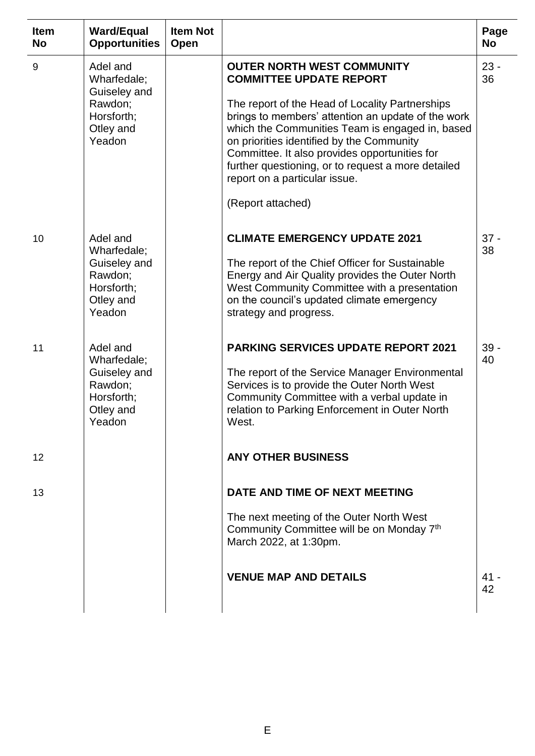| <b>Item</b><br><b>No</b> | <b>Ward/Equal</b><br><b>Opportunities</b>                                               | <b>Item Not</b><br>Open |                                                                                                                                                                                                                                                                                                                                                                                                                                           | Page<br><b>No</b> |
|--------------------------|-----------------------------------------------------------------------------------------|-------------------------|-------------------------------------------------------------------------------------------------------------------------------------------------------------------------------------------------------------------------------------------------------------------------------------------------------------------------------------------------------------------------------------------------------------------------------------------|-------------------|
| 9                        | Adel and<br>Wharfedale;<br>Guiseley and<br>Rawdon;<br>Horsforth;<br>Otley and<br>Yeadon |                         | <b>OUTER NORTH WEST COMMUNITY</b><br><b>COMMITTEE UPDATE REPORT</b><br>The report of the Head of Locality Partnerships<br>brings to members' attention an update of the work<br>which the Communities Team is engaged in, based<br>on priorities identified by the Community<br>Committee. It also provides opportunities for<br>further questioning, or to request a more detailed<br>report on a particular issue.<br>(Report attached) | $23 -$<br>36      |
| 10                       | Adel and<br>Wharfedale;<br>Guiseley and<br>Rawdon;<br>Horsforth;<br>Otley and<br>Yeadon |                         | <b>CLIMATE EMERGENCY UPDATE 2021</b><br>The report of the Chief Officer for Sustainable<br>Energy and Air Quality provides the Outer North<br>West Community Committee with a presentation<br>on the council's updated climate emergency<br>strategy and progress.                                                                                                                                                                        | $37 -$<br>38      |
| 11                       | Adel and<br>Wharfedale;<br>Guiseley and<br>Rawdon;<br>Horsforth;<br>Otley and<br>Yeadon |                         | <b>PARKING SERVICES UPDATE REPORT 2021</b><br>The report of the Service Manager Environmental<br>Services is to provide the Outer North West<br>Community Committee with a verbal update in<br>relation to Parking Enforcement in Outer North<br>West.                                                                                                                                                                                    | $39 -$<br>40      |
| 12                       |                                                                                         |                         | <b>ANY OTHER BUSINESS</b>                                                                                                                                                                                                                                                                                                                                                                                                                 |                   |
| 13                       |                                                                                         |                         | DATE AND TIME OF NEXT MEETING<br>The next meeting of the Outer North West<br>Community Committee will be on Monday 7th<br>March 2022, at 1:30pm.<br><b>VENUE MAP AND DETAILS</b>                                                                                                                                                                                                                                                          | 41 -<br>42        |